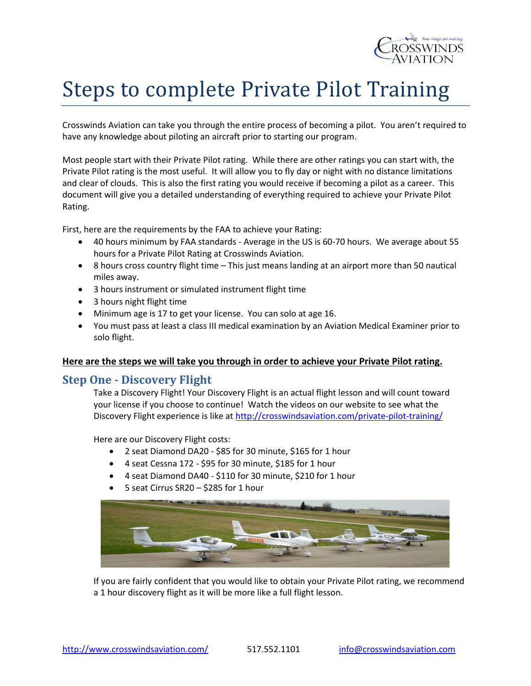

# Steps to complete Private Pilot Training

Crosswinds Aviation can take you through the entire process of becoming a pilot. You aren't required to have any knowledge about piloting an aircraft prior to starting our program.

Most people start with their Private Pilot rating. While there are other ratings you can start with, the Private Pilot rating is the most useful. It will allow you to fly day or night with no distance limitations and clear of clouds. This is also the first rating you would receive if becoming a pilot as a career. This document will give you a detailed understanding of everything required to achieve your Private Pilot Rating.

First, here are the requirements by the FAA to achieve your Rating:

- 40 hours minimum by FAA standards Average in the US is 60-70 hours. We average about 55 hours for a Private Pilot Rating at Crosswinds Aviation.
- 8 hours cross country flight time This just means landing at an airport more than 50 nautical miles away.
- 3 hours instrument or simulated instrument flight time
- 3 hours night flight time
- Minimum age is 17 to get your license. You can solo at age 16.
- You must pass at least a class III medical examination by an Aviation Medical Examiner prior to solo flight.

#### **Here are the steps we will take you through in order to achieve your Private Pilot rating.**

#### **Step One - Discovery Flight**

Take a Discovery Flight! Your Discovery Flight is an actual flight lesson and will count toward your license if you choose to continue! Watch the videos on our website to see what the Discovery Flight experience is like a[t http://crosswindsaviation.com/private-pilot-training/](http://crosswindsaviation.com/private-pilot-training/)

Here are our Discovery Flight costs:

- 2 seat Diamond DA20 \$85 for 30 minute, \$165 for 1 hour
- 4 seat Cessna 172 \$95 for 30 minute, \$185 for 1 hour
- 4 seat Diamond DA40 \$110 for 30 minute, \$210 for 1 hour
- 5 seat Cirrus SR20 \$285 for 1 hour



If you are fairly confident that you would like to obtain your Private Pilot rating, we recommend a 1 hour discovery flight as it will be more like a full flight lesson.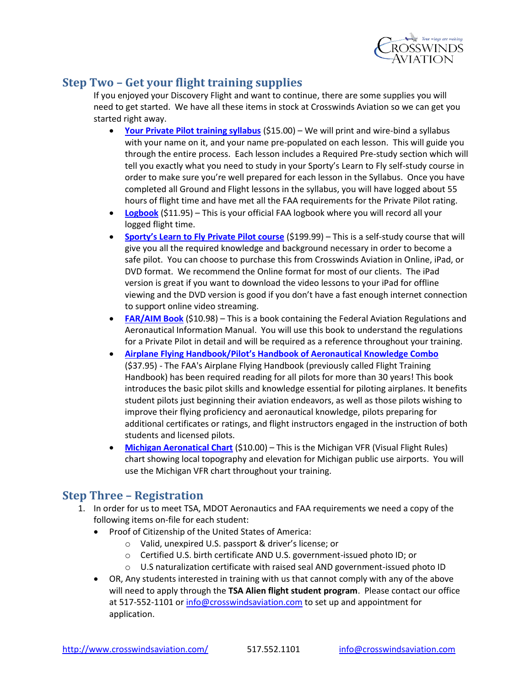

### **Step Two – Get your flight training supplies**

If you enjoyed your Discovery Flight and want to continue, there are some supplies you will need to get started. We have all these items in stock at Crosswinds Aviation so we can get you started right away.

- **[Your Private Pilot training syllabus](http://crosswindsaviation.com/download/vfr-syllabus/)** (\$15.00) We will print and wire-bind a syllabus with your name on it, and your name pre-populated on each lesson. This will guide you through the entire process. Each lesson includes a Required Pre-study section which will tell you exactly what you need to study in your Sporty's Learn to Fly self-study course in order to make sure you're well prepared for each lesson in the Syllabus. Once you have completed all Ground and Flight lessons in the syllabus, you will have logged about 55 hours of flight time and have met all the FAA requirements for the Private Pilot rating.
- **[Logbook](http://www.sportys.com/PilotShop/product/12088)** (\$11.95) This is your official FAA logbook where you will record all your logged flight time.
- **[Sporty's Learn to Fly Private Pilot course](http://learntoflyhere.com/sportys-learn-to-fly-course/)** (\$199.99) This is a self-study course that will give you all the required knowledge and background necessary in order to become a safe pilot. You can choose to purchase this from Crosswinds Aviation in Online, iPad, or DVD format. We recommend the Online format for most of our clients. The iPad version is great if you want to download the video lessons to your iPad for offline viewing and the DVD version is good if you don't have a fast enough internet connection to support online video streaming.
- **[FAR/AIM Book](http://www.sportys.com/PilotShop/product/9519)** (\$10.98) This is a book containing the Federal Aviation Regulations and Aeronautical Information Manual. You will use this book to understand the regulations for a Private Pilot in detail and will be required as a reference throughout your training.
- **Airplane Flying Handbook/Pilo[t's Handbook of Aeronautical Knowledge Combo](http://www.sportys.com/PilotShop/product/13299)** (\$37.95) - The FAA's Airplane Flying Handbook (previously called Flight Training Handbook) has been required reading for all pilots for more than 30 years! This book introduces the basic pilot skills and knowledge essential for piloting airplanes. It benefits student pilots just beginning their aviation endeavors, as well as those pilots wishing to improve their flying proficiency and aeronautical knowledge, pilots preparing for additional certificates or ratings, and flight instructors engaged in the instruction of both students and licensed pilots.
- **[Michigan Aeronatical Chart](https://media.state.mi.us/michiganestore/public/ProductDetails.aspx?categoryId=46&productId=561)** (\$10.00) This is the Michigan VFR (Visual Flight Rules) chart showing local topography and elevation for Michigan public use airports. You will use the Michigan VFR chart throughout your training.

## **Step Three – Registration**

- 1. In order for us to meet TSA, MDOT Aeronautics and FAA requirements we need a copy of the following items on-file for each student:
	- Proof of Citizenship of the United States of America:
		- o Valid, unexpired U.S. passport & driver's license; or
		- o Certified U.S. birth certificate AND U.S. government-issued photo ID; or
		- o U.S naturalization certificate with raised seal AND government-issued photo ID
	- OR, Any students interested in training with us that cannot comply with any of the above will need to apply through the **TSA Alien flight student program**. Please contact our office at 517-552-1101 o[r info@crosswindsaviation.com](mailto:info@crosswindsaviation.com) to set up and appointment for application.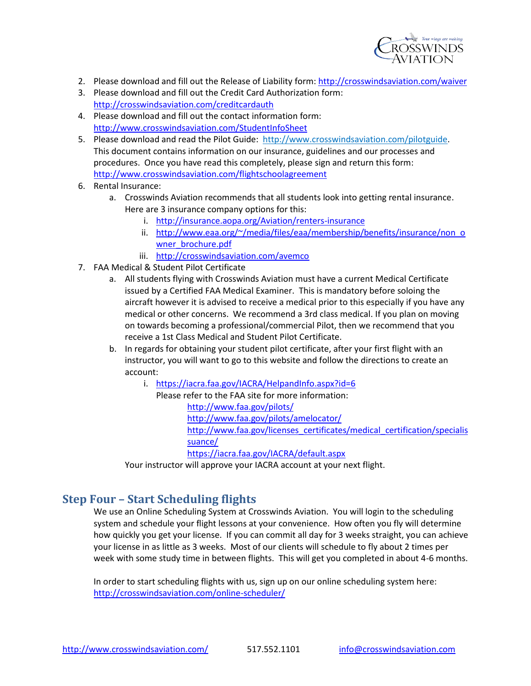

- 2. Please download and fill out the Release of Liability form: <http://crosswindsaviation.com/waiver>
- 3. Please download and fill out the Credit Card Authorization form: <http://crosswindsaviation.com/creditcardauth>
- 4. Please download and fill out the contact information form: <http://www.crosswindsaviation.com/StudentInfoSheet>
- 5. Please download and read the Pilot Guide: [http://www.crosswindsaviation.com/pilotguide.](http://www.crosswindsaviation.com/pilotguide) This document contains information on our insurance, guidelines and our processes and procedures. Once you have read this completely, please sign and return this form: <http://www.crosswindsaviation.com/flightschoolagreement>
- 6. Rental Insurance:
	- a. Crosswinds Aviation recommends that all students look into getting rental insurance. Here are 3 insurance company options for this:
		- i. <http://insurance.aopa.org/Aviation/renters-insurance>
		- ii. [http://www.eaa.org/~/media/files/eaa/membership/benefits/insurance/non\\_o](http://www.eaa.org/~/media/files/eaa/membership/benefits/insurance/non_owner_brochure.pdf) [wner\\_brochure.pdf](http://www.eaa.org/~/media/files/eaa/membership/benefits/insurance/non_owner_brochure.pdf)
		- iii. <http://crosswindsaviation.com/avemco>
- 7. FAA Medical & Student Pilot Certificate
	- a. All students flying with Crosswinds Aviation must have a current Medical Certificate issued by a Certified FAA Medical Examiner. This is mandatory before soloing the aircraft however it is advised to receive a medical prior to this especially if you have any medical or other concerns. We recommend a 3rd class medical. If you plan on moving on towards becoming a professional/commercial Pilot, then we recommend that you receive a 1st Class Medical and Student Pilot Certificate.
	- b. In regards for obtaining your student pilot certificate, after your first flight with an instructor, you will want to go to this website and follow the directions to create an account:
		- i. <https://iacra.faa.gov/IACRA/HelpandInfo.aspx?id=6>
			- Please refer to the FAA site for more information: <http://www.faa.gov/pilots/> <http://www.faa.gov/pilots/amelocator/> [http://www.faa.gov/licenses\\_certificates/medical\\_certification/specialis](http://www.faa.gov/licenses_certificates/medical_certification/specialissuance/) [suance/](http://www.faa.gov/licenses_certificates/medical_certification/specialissuance/) <https://iacra.faa.gov/IACRA/default.aspx>

Your instructor will approve your IACRA account at your next flight.

#### **Step Four – Start Scheduling flights**

We use an Online Scheduling System at Crosswinds Aviation. You will login to the scheduling system and schedule your flight lessons at your convenience. How often you fly will determine how quickly you get your license. If you can commit all day for 3 weeks straight, you can achieve your license in as little as 3 weeks. Most of our clients will schedule to fly about 2 times per week with some study time in between flights. This will get you completed in about 4-6 months.

In order to start scheduling flights with us, sign up on our online scheduling system here: <http://crosswindsaviation.com/online-scheduler/>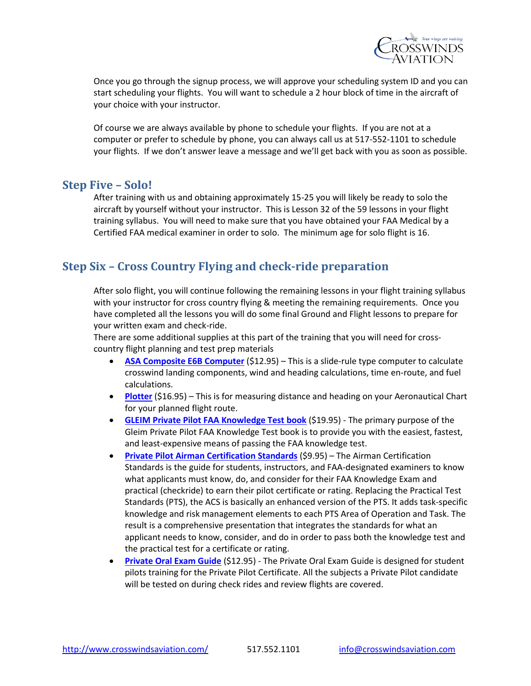

Once you go through the signup process, we will approve your scheduling system ID and you can start scheduling your flights. You will want to schedule a 2 hour block of time in the aircraft of your choice with your instructor.

Of course we are always available by phone to schedule your flights. If you are not at a computer or prefer to schedule by phone, you can always call us at 517-552-1101 to schedule your flights. If we don't answer leave a message and we'll get back with you as soon as possible.

#### **Step Five – Solo!**

After training with us and obtaining approximately 15-25 you will likely be ready to solo the aircraft by yourself without your instructor. This is Lesson 32 of the 59 lessons in your flight training syllabus. You will need to make sure that you have obtained your FAA Medical by a Certified FAA medical examiner in order to solo. The minimum age for solo flight is 16.

### **Step Six – Cross Country Flying and check-ride preparation**

After solo flight, you will continue following the remaining lessons in your flight training syllabus with your instructor for cross country flying & meeting the remaining requirements. Once you have completed all the lessons you will do some final Ground and Flight lessons to prepare for your written exam and check-ride.

There are some additional supplies at this part of the training that you will need for crosscountry flight planning and test prep materials

- **[ASA Composite E6B Computer](http://www.sportys.com/PilotShop/product/12654)** (\$12.95) This is a slide-rule type computer to calculate crosswind landing components, wind and heading calculations, time en-route, and fuel calculations.
- **[Plotter](http://www.sportys.com/PilotShop/product/9284)** (\$16.95) This is for measuring distance and heading on your Aeronautical Chart for your planned flight route.
- **GLEIM [Private Pilot FAA Knowledge Test book](http://www.gleim.com/products/productdetails.php/PPKT)** (\$19.95) The primary purpose of the Gleim Private Pilot FAA Knowledge Test book is to provide you with the easiest, fastest, and least-expensive means of passing the FAA knowledge test.
- **Private Pilot [Airman Certification](http://www.sportys.com/pilotshop/private-pilot-airman-certification-standards-acs.html) Standards** (\$9.95) The Airman Certification Standards is the guide for students, instructors, and FAA-designated examiners to know what applicants must know, do, and consider for their FAA Knowledge Exam and practical (checkride) to earn their pilot certificate or rating. Replacing the Practical Test Standards (PTS), the ACS is basically an enhanced version of the PTS. It adds task-specific knowledge and risk management elements to each PTS Area of Operation and Task. The result is a comprehensive presentation that integrates the standards for what an applicant needs to know, consider, and do in order to pass both the knowledge test and the practical test for a certificate or rating.
- **[Private Oral Exam Guide](http://www.sportys.com/PilotShop/product/9918)** (\$12.95) The Private Oral Exam Guide is designed for student pilots training for the Private Pilot Certificate. All the subjects a Private Pilot candidate will be tested on during check rides and review flights are covered.